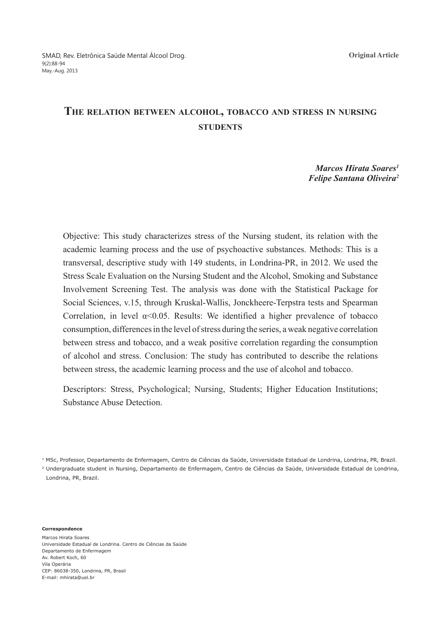# **The relation between alcohol, tobacco and stress in nursing sTUDENTS**

# *Marcos Hirata Soares1 Felipe Santana Oliveira2*

Objective: This study characterizes stress of the Nursing student, its relation with the academic learning process and the use of psychoactive substances. Methods: This is a transversal, descriptive study with 149 students, in Londrina-PR, in 2012. We used the Stress Scale Evaluation on the Nursing Student and the Alcohol, Smoking and Substance Involvement Screening Test. The analysis was done with the Statistical Package for Social Sciences, v.15, through Kruskal-Wallis, Jonckheere-Terpstra tests and Spearman Correlation, in level  $\alpha$ <0.05. Results: We identified a higher prevalence of tobacco consumption, differences in the level of stress during the series, a weak negative correlation between stress and tobacco, and a weak positive correlation regarding the consumption of alcohol and stress. Conclusion: The study has contributed to describe the relations between stress, the academic learning process and the use of alcohol and tobacco.

Descriptors: Stress, Psychological; Nursing, Students; Higher Education Institutions; Substance Abuse Detection.

1 MSc, Professor, Departamento de Enfermagem, Centro de Ciências da Saúde, Universidade Estadual de Londrina, Londrina, PR, Brazil. 2 Undergraduate student in Nursing, Departamento de Enfermagem, Centro de Ciências da Saúde, Universidade Estadual de Londrina, Londrina, PR, Brazil.

**Correspondence**

Marcos Hirata Soares Universidade Estadual de Londrina. Centro de Ciências da Saúde Departamento de Enfermagem Av. Robert Koch, 60 Vila Operária CEP: 86038-350, Londrina, PR, Brasil E-mail: mhirata@uel.br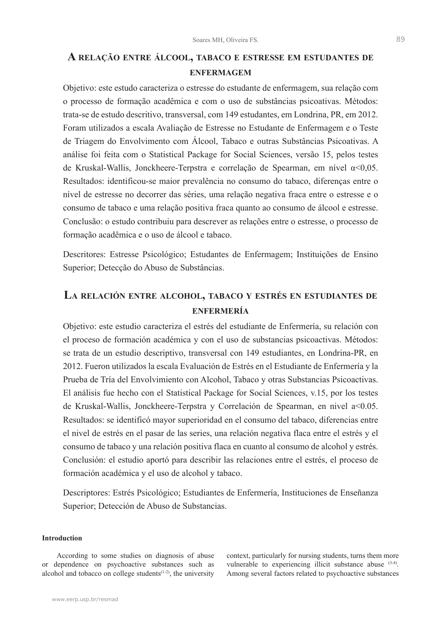# **A relação entre álcool, tabaco e estresse em estudantes de enfermagem**

Objetivo: este estudo caracteriza o estresse do estudante de enfermagem, sua relação com o processo de formação acadêmica e com o uso de substâncias psicoativas. Métodos: trata-se de estudo descritivo, transversal, com 149 estudantes, em Londrina, PR, em 2012. Foram utilizados a escala Avaliação de Estresse no Estudante de Enfermagem e o Teste de Triagem do Envolvimento com Álcool, Tabaco e outras Substâncias Psicoativas. A análise foi feita com o Statistical Package for Social Sciences, versão 15, pelos testes de Kruskal-Wallis, Jonckheere-Terpstra e correlação de Spearman, em nível α<0,05. Resultados: identificou-se maior prevalência no consumo do tabaco, diferenças entre o nível de estresse no decorrer das séries, uma relação negativa fraca entre o estresse e o consumo de tabaco e uma relação positiva fraca quanto ao consumo de álcool e estresse. Conclusão: o estudo contribuiu para descrever as relações entre o estresse, o processo de formação acadêmica e o uso de álcool e tabaco.

Descritores: Estresse Psicológico; Estudantes de Enfermagem; Instituições de Ensino Superior; Detecção do Abuso de Substâncias.

# **La relación entre alcohol, tabaco <sup>y</sup> estrés en estudiantes de enfermería**

Objetivo: este estudio caracteriza el estrés del estudiante de Enfermería, su relación con el proceso de formación académica y con el uso de substancias psicoactivas. Métodos: se trata de un estudio descriptivo, transversal con 149 estudiantes, en Londrina-PR, en 2012. Fueron utilizados la escala Evaluación de Estrés en el Estudiante de Enfermería y la Prueba de Tría del Envolvimiento con Alcohol, Tabaco y otras Substancias Psicoactivas. El análisis fue hecho con el Statistical Package for Social Sciences, v.15, por los testes de Kruskal-Wallis, Jonckheere-Terpstra y Correlación de Spearman, en nivel a<0.05. Resultados: se identificó mayor superioridad en el consumo del tabaco, diferencias entre el nivel de estrés en el pasar de las series, una relación negativa flaca entre el estrés y el consumo de tabaco y una relación positiva flaca en cuanto al consumo de alcohol y estrés. Conclusión: el estudio aportó para describir las relaciones entre el estrés, el proceso de formación académica y el uso de alcohol y tabaco.

Descriptores: Estrés Psicológico; Estudiantes de Enfermería, Instituciones de Enseñanza Superior; Detección de Abuso de Substancias.

# **Introduction**

According to some studies on diagnosis of abuse or dependence on psychoactive substances such as alcohol and tobacco on college students $(1-2)$ , the university

context, particularly for nursing students, turns them more vulnerable to experiencing illicit substance abuse (3-4). Among several factors related to psychoactive substances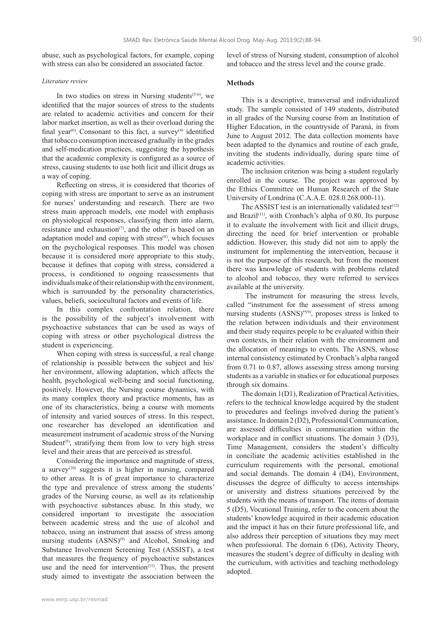abuse, such as psychological factors, for example, coping with stress can also be considered an associated factor.

#### *Literature review*

In two studies on stress in Nursing students<sup> $(5-6)$ </sup>, we identified that the major sources of stress to the students are related to academic activities and concern for their labor market insertion, as well as their overload during the final year<sup> $(6)$ </sup>. Consonant to this fact, a survey<sup> $(4)$ </sup> identified that tobacco consumption increased gradually in the grades and self-medication practices, suggesting the hypothesis that the academic complexity is configured as a source of stress, causing students to use both licit and illicit drugs as a way of coping.

Reflecting on stress, it is considered that theories of coping with stress are important to serve as an instrument for nurses' understanding and research. There are two stress main approach models, one model with emphasis on physiological responses, classifying them into alarm, resistance and exhaustion<sup> $(7)$ </sup>, and the other is based on an adaptation model and coping with stress<sup>(8)</sup>, which focuses on the psychological responses. This model was chosen because it is considered more appropriate to this study, because it defines that coping with stress, considered a process, is conditioned to ongoing reassessments that individuals make of their relationship with the environment, which is surrounded by the personality characteristics, values, beliefs, sociocultural factors and events of life.

In this complex confrontation relation, there is the possibility of the subject's involvement with psychoactive substances that can be used as ways of coping with stress or other psychological distress the student is experiencing.

When coping with stress is successful, a real change of relationship is possible between the subject and his/ her environment, allowing adaptation, which affects the health, psychological well-being and social functioning, positively. However, the Nursing course dynamics, with its many complex theory and practice moments, has as one of its characteristics, being a course with moments of intensity and varied sources of stress. In this respect, one researcher has developed an identification and measurement instrument of academic stress of the Nursing Student<sup>(9)</sup>, stratifying them from low to very high stress level and their areas that are perceived as stressful.

Considering the importance and magnitude of stress, a survey(10) suggests it is higher in nursing, compared to other areas. It is of great importance to characterize the type and prevalence of stress among the students' grades of the Nursing course, as well as its relationship with psychoactive substances abuse. In this study, we considered important to investigate the association between academic stress and the use of alcohol and tobacco, using an instrument that assess of stress among nursing students  $(ASS)$ <sup>(9)</sup> and Alcohol, Smoking and Substance Involvement Screening Test (ASSIST), a test that measures the frequency of psychoactive substances use and the need for intervention $(11)$ . Thus, the present study aimed to investigate the association between the level of stress of Nursing student, consumption of alcohol and tobacco and the stress level and the course grade.

## **Methods**

This is a descriptive, transversal and individualized study. The sample consisted of 149 students, distributed in all grades of the Nursing course from an Institution of Higher Education, in the countryside of Paraná, in from June to August 2012. The data collection moments have been adapted to the dynamics and routine of each grade, inviting the students individually, during spare time of academic activities.

The inclusion criterion was being a student regularly enrolled in the course. The project was approved by the Ethics Committee on Human Research of the State University of Londrina (C.A.A.E. 028.0.268.000-11).

The ASSIST test is an internationally validated test<sup>(12)</sup> and Brazil<sup>(11)</sup>, with Cronbach's alpha of 0.80. Its purpose it to evaluate the involvement with licit and illicit drugs, directing the need for brief intervention or probable addiction. However, this study did not aim to apply the instrument for implementing the intervention, because it is not the purpose of this research, but from the moment there was knowledge of students with problems related to alcohol and tobacco, they were referred to services available at the university.

 The instrument for measuring the stress levels, called "instrument for the assessment of stress among nursing students  $(ASNS)^{\gamma(9)}$ , proposes stress is linked to the relation between individuals and their environment and their study requires people to be evaluated within their own contexts, in their relation with the environment and the allocation of meanings to events. The ASNS, whose internal consistency estimated by Cronbach's alpha ranged from 0.71 to 0.87, allows assessing stress among nursing students as a variable in studies or for educational purposes through six domains.

The domain 1(D1), Realization of Practical Activities, refers to the technical knowledge acquired by the student to procedures and feelings involved during the patient's assistance. In domain 2 (D2), Professional Communication, are assessed difficulties in communication within the workplace and in conflict situations. The domain 3 (D3), Time Management, considers the student's difficulty in conciliate the academic activities established in the curriculum requirements with the personal, emotional and social demands. The domain 4 (D4), Environment, discusses the degree of difficulty to access internships or university and distress situations perceived by the students with the means of transport. The items of domain 5 (D5), Vocational Training, refer to the concern about the students' knowledge acquired in their academic education and the impact it has on their future professional life, and also address their perception of situations they may meet when professional. The domain 6 (D6), Activity Theory, measures the student's degree of difficulty in dealing with the curriculum, with activities and teaching methodology adopted.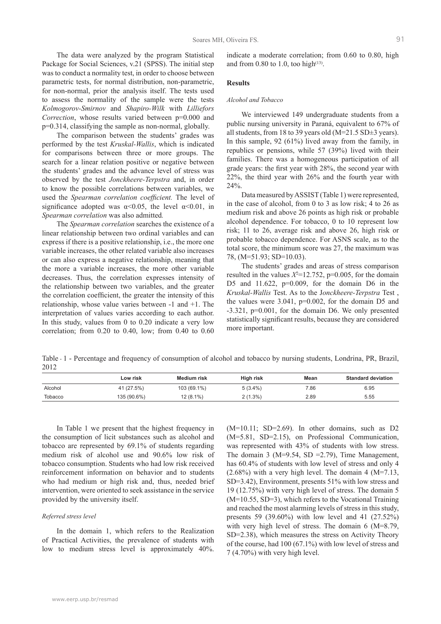The data were analyzed by the program Statistical Package for Social Sciences, v.21 (SPSS). The initial step was to conduct a normality test, in order to choose between parametric tests, for normal distribution, non-parametric, for non-normal, prior the analysis itself. The tests used to assess the normality of the sample were the tests *Kolmogorov-Smirnov* and *Shapiro-Wilk* with *Lilliefors Correction*, whose results varied between p=0.000 and p=0.314, classifying the sample as non-normal, globally.

The comparison between the students' grades was performed by the test *Kruskal-Wallis*, which is indicated for comparisons between three or more groups. The search for a linear relation positive or negative between the students' grades and the advance level of stress was observed by the test *Jonckheere-Terpstra* and, in order to know the possible correlations between variables, we used the *Spearman correlation coefficient.* The level of significance adopted was  $\alpha$ <0.05, the level  $\alpha$ <0.01, in *Spearman correlation* was also admitted*.*

The *Spearman correlation* searches the existence of a linear relationship between two ordinal variables and can express if there is a positive relationship, i.e., the more one variable increases, the other related variable also increases or can also express a negative relationship, meaning that the more a variable increases, the more other variable decreases. Thus, the correlation expresses intensity of the relationship between two variables, and the greater the correlation coefficient, the greater the intensity of this relationship, whose value varies between -1 and +1. The interpretation of values varies according to each author. In this study, values from 0 to 0.20 indicate a very low correlation; from 0.20 to 0.40, low; from 0.40 to 0.60

indicate a moderate correlation; from 0.60 to 0.80, high and from 0.80 to 1.0, too high<sup> $(13)$ </sup>.

#### **Results**

#### *Alcohol and Tobacco*

We interviewed 149 undergraduate students from a public nursing university in Paraná, equivalent to 67% of all students, from 18 to 39 years old (M=21.5 SD±3 years). In this sample, 92 (61%) lived away from the family, in republics or pensions, while 57 (39%) lived with their families. There was a homogeneous participation of all grade years: the first year with 28%, the second year with 22%, the third year with 26% and the fourth year with 24%.

Data measured by ASSIST (Table 1) were represented, in the case of alcohol, from 0 to 3 as low risk; 4 to 26 as medium risk and above 26 points as high risk or probable alcohol dependence. For tobacco, 0 to 10 represent low risk; 11 to 26, average risk and above 26, high risk or probable tobacco dependence. For ASNS scale, as to the total score, the minimum score was 27, the maximum was 78, (M=51.93; SD=10.03).

The students' grades and areas of stress comparison resulted in the values  $X^2$ =12.752, p=0.005, for the domain D5 and  $11.622$ ,  $p=0.009$ , for the domain D6 in the *Kruskal-Wallis* Test. As to the J*onckheere-Terpstra* Test , the values were 3.041, p=0.002, for the domain D5 and -3.321, p=0.001, for the domain D6. We only presented statistically significant results, because they are considered more important.

Table - 1 - Percentage and frequency of consumption of alcohol and tobacco by nursing students, Londrina, PR, Brazil, 2012

|         | Low risk    | Medium risk | High risk  | Mean | <b>Standard deviation</b> |
|---------|-------------|-------------|------------|------|---------------------------|
| Alcohol | 41 (27.5%)  | 103 (69.1%) | $5(3.4\%)$ | 7.86 | 6.95                      |
| Tobacco | 135 (90.6%) | 12 (8.1%)   | $2(1.3\%)$ | 2.89 | 5.55                      |

In Table 1 we present that the highest frequency in the consumption of licit substances such as alcohol and tobacco are represented by 69.1% of students regarding medium risk of alcohol use and 90.6% low risk of tobacco consumption. Students who had low risk received reinforcement information on behavior and to students who had medium or high risk and, thus, needed brief intervention, were oriented to seek assistance in the service provided by the university itself.

## *Referred stress level*

In the domain 1, which refers to the Realization of Practical Activities, the prevalence of students with low to medium stress level is approximately 40%.

 $(M=10.11; SD=2.69)$ . In other domains, such as D2 (M=5.81, SD=2.15), on Professional Communication, was represented with 43% of students with low stress. The domain 3 (M=9.54, SD =2.79), Time Management, has 60.4% of students with low level of stress and only 4  $(2.68\%)$  with a very high level. The domain 4 (M=7.13, SD=3.42), Environment, presents 51% with low stress and 19 (12.75%) with very high level of stress. The domain 5 (M=10.55, SD=3), which refers to the Vocational Training and reached the most alarming levels of stress in this study, presents 59 (39.60%) with low level and 41 (27.52%) with very high level of stress. The domain 6 (M=8.79, SD=2.38), which measures the stress on Activity Theory of the course, had 100 (67.1%) with low level of stress and 7 (4.70%) with very high level.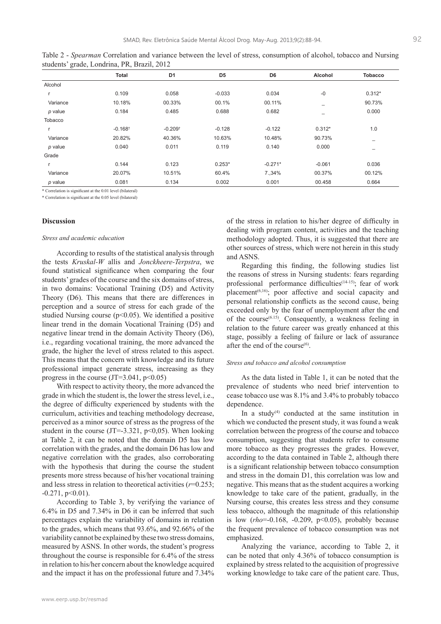|           | <b>Total</b>          | D <sub>1</sub>        | D <sub>5</sub> | D <sub>6</sub> | Alcohol  | <b>Tobacco</b> |
|-----------|-----------------------|-----------------------|----------------|----------------|----------|----------------|
| Alcohol   |                       |                       |                |                |          |                |
|           | 0.109                 | 0.058                 | $-0.033$       | 0.034          | $-0$     | $0.312*$       |
| Variance  | 10.18%                | 00.33%                | 00.1%          | 00.11%         | -        | 90.73%         |
| $p$ value | 0.184                 | 0.485                 | 0.688          | 0.682          |          | 0.000          |
| Tobacco   |                       |                       |                |                |          |                |
|           | $-0.168$ <sup>+</sup> | $-0.209$ <sup>t</sup> | $-0.128$       | $-0.122$       | $0.312*$ | 1.0            |
| Variance  | 20.82%                | 40.36%                | 10.63%         | 10.48%         | 90.73%   | -              |
| $p$ value | 0.040                 | 0.011                 | 0.119          | 0.140          | 0.000    | -              |
| Grade     |                       |                       |                |                |          |                |
|           | 0.144                 | 0.123                 | $0.253*$       | $-0.271*$      | $-0.061$ | 0.036          |
| Variance  | 20.07%                | 10.51%                | 60.4%          | 7.,34%         | 00.37%   | 00.12%         |
| p value   | 0.081                 | 0.134                 | 0.002          | 0.001          | 00.458   | 0.664          |

Table 2 - *Spearman* Correlation and variance between the level of stress, consumption of alcohol, tobacco and Nursing students' grade, Londrina, PR, Brazil, 2012

\* Correlation is significant at the 0.01 level (bilateral)

\* Correlation is significant at the 0.05 level (bilateral)

### **Discussion**

#### *Stress and academic education*

According to results of the statistical analysis through the tests *Kruskal-W* allis and *Jonckheere-Terpstra*, we found statistical significance when comparing the four students' grades of the course and the six domains of stress, in two domains: Vocational Training (D5) and Activity Theory (D6). This means that there are differences in perception and a source of stress for each grade of the studied Nursing course ( $p<0.05$ ). We identified a positive linear trend in the domain Vocational Training (D5) and negative linear trend in the domain Activity Theory (D6), i.e., regarding vocational training, the more advanced the grade, the higher the level of stress related to this aspect. This means that the concern with knowledge and its future professional impact generate stress, increasing as they progress in the course  $(JT=3.041, p<0.05)$ 

With respect to activity theory, the more advanced the grade in which the student is, the lower the stress level, i.e., the degree of difficulty experienced by students with the curriculum, activities and teaching methodology decrease, perceived as a minor source of stress as the progress of the student in the course  $(JT=-3.321, p<0.05)$ . When looking at Table 2, it can be noted that the domain D5 has low correlation with the grades, and the domain D6 has low and negative correlation with the grades, also corroborating with the hypothesis that during the course the student presents more stress because of his/her vocational training and less stress in relation to theoretical activities (*r*=0.253;  $-0.271$ ,  $p<0.01$ ).

According to Table 3, by verifying the variance of 6.4% in D5 and 7.34% in D6 it can be inferred that such percentages explain the variability of domains in relation to the grades, which means that 93.6%, and 92.66% of the variability cannot be explained by these two stress domains, measured by ASNS. In other words, the student's progress throughout the course is responsible for 6.4% of the stress in relation to his/her concern about the knowledge acquired and the impact it has on the professional future and 7.34%

www.eerp.usp.br/resmad

of the stress in relation to his/her degree of difficulty in dealing with program content, activities and the teaching methodology adopted. Thus, it is suggested that there are other sources of stress, which were not herein in this study and ASNS.

Regarding this finding, the following studies list the reasons of stress in Nursing students: fears regarding professional performance difficulties<sup>(14-15)</sup>; fear of work placement<sup> $(6,16)$ </sup>; poor affective and social capacity and personal relationship conflicts as the second cause, being exceeded only by the fear of unemployment after the end of the course<sup> $(6.15)$ </sup>. Consequently, a weakness feeling in relation to the future career was greatly enhanced at this stage, possibly a feeling of failure or lack of assurance after the end of the course $^{(6)}$ .

### *Stress and tobacco and alcohol consumption*

As the data listed in Table 1, it can be noted that the prevalence of students who need brief intervention to cease tobacco use was 8.1% and 3.4% to probably tobacco dependence.

In a study $(4)$  conducted at the same institution in which we conducted the present study, it was found a weak correlation between the progress of the course and tobacco consumption, suggesting that students refer to consume more tobacco as they progresses the grades. However, according to the data contained in Table 2, although there is a significant relationship between tobacco consumption and stress in the domain D1, this correlation was low and negative. This means that as the student acquires a working knowledge to take care of the patient, gradually, in the Nursing course, this creates less stress and they consume less tobacco, although the magnitude of this relationship is low (*rho*=-0.168, -0.209, p<0.05), probably because the frequent prevalence of tobacco consumption was not emphasized.

Analyzing the variance, according to Table 2, it can be noted that only 4.36% of tobacco consumption is explained by stress related to the acquisition of progressive working knowledge to take care of the patient care. Thus,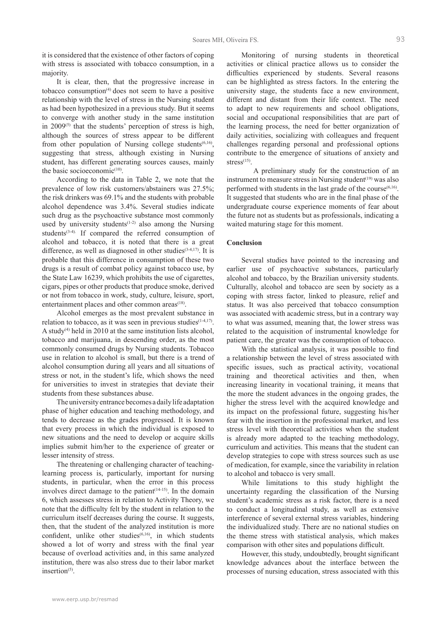it is considered that the existence of other factors of coping with stress is associated with tobacco consumption, in a majority.

It is clear, then, that the progressive increase in tobacco consumption $(4)$  does not seem to have a positive relationship with the level of stress in the Nursing student as had been hypothesized in a previous study. But it seems to converge with another study in the same institution in  $2009^{(5)}$  that the students' perception of stress is high, although the sources of stress appear to be different from other population of Nursing college students<sup> $(6,16)$ </sup>, suggesting that stress, although existing in Nursing student, has different generating sources causes, mainly the basic socioeconomic<sup>(10)</sup>.

According to the data in Table 2, we note that the prevalence of low risk customers/abstainers was 27.5%; the risk drinkers was 69.1% and the students with probable alcohol dependence was 3.4%. Several studies indicate such drug as the psychoactive substance most commonly used by university students<sup> $(1-2)$ </sup> also among the Nursing students $(3-4)$ . If compared the referred consumption of alcohol and tobacco, it is noted that there is a great difference, as well as diagnosed in other studies<sup>(3-4,17)</sup>. It is probable that this difference in consumption of these two drugs is a result of combat policy against tobacco use, by the State Law 16239, which prohibits the use of cigarettes, cigars, pipes or other products that produce smoke, derived or not from tobacco in work, study, culture, leisure, sport, entertainment places and other common areas<sup>(18)</sup>.

Alcohol emerges as the most prevalent substance in relation to tobacco, as it was seen in previous studies<sup> $(1-4,17)$ </sup>. A study<sup>(4)</sup> held in 2010 at the same institution lists alcohol, tobacco and marijuana, in descending order, as the most commonly consumed drugs by Nursing students. Tobacco use in relation to alcohol is small, but there is a trend of alcohol consumption during all years and all situations of stress or not, in the student's life, which shows the need for universities to invest in strategies that deviate their students from these substances abuse.

The university entrance becomes a daily life adaptation phase of higher education and teaching methodology, and tends to decrease as the grades progressed. It is known that every process in which the individual is exposed to new situations and the need to develop or acquire skills implies submit him/her to the experience of greater or lesser intensity of stress.

The threatening or challenging character of teachinglearning process is, particularly, important for nursing students, in particular, when the error in this process involves direct damage to the patient<sup> $(14-15)$ </sup>. In the domain 6, which assesses stress in relation to Activity Theory, we note that the difficulty felt by the student in relation to the curriculum itself decreases during the course. It suggests, then, that the student of the analyzed institution is more confident, unlike other studies $(6,16)$ , in which students showed a lot of worry and stress with the final year because of overload activities and, in this same analyzed institution, there was also stress due to their labor market insertion $^{(5)}$ .

Monitoring of nursing students in theoretical activities or clinical practice allows us to consider the difficulties experienced by students. Several reasons can be highlighted as stress factors. In the entering the university stage, the students face a new environment, different and distant from their life context. The need to adapt to new requirements and school obligations, social and occupational responsibilities that are part of the learning process, the need for better organization of daily activities, socializing with colleagues and frequent challenges regarding personal and professional options contribute to the emergence of situations of anxiety and stress $(15)$ .

A preliminary study for the construction of an instrument to measure stress in Nursing student $(19)$  was also performed with students in the last grade of the course $(6,16)$ . It suggested that students who are in the final phase of the undergraduate course experience moments of fear about the future not as students but as professionals, indicating a waited maturing stage for this moment.

## **Conclusion**

Several studies have pointed to the increasing and earlier use of psychoactive substances, particularly alcohol and tobacco, by the Brazilian university students. Culturally, alcohol and tobacco are seen by society as a coping with stress factor, linked to pleasure, relief and status. It was also perceived that tobacco consumption was associated with academic stress, but in a contrary way to what was assumed, meaning that, the lower stress was related to the acquisition of instrumental knowledge for patient care, the greater was the consumption of tobacco.

With the statistical analysis, it was possible to find a relationship between the level of stress associated with specific issues, such as practical activity, vocational training and theoretical activities and then, when increasing linearity in vocational training, it means that the more the student advances in the ongoing grades, the higher the stress level with the acquired knowledge and its impact on the professional future, suggesting his/her fear with the insertion in the professional market, and less stress level with theoretical activities when the student is already more adapted to the teaching methodology, curriculum and activities. This means that the student can develop strategies to cope with stress sources such as use of medication, for example, since the variability in relation to alcohol and tobacco is very small.

While limitations to this study highlight the uncertainty regarding the classification of the Nursing student's academic stress as a risk factor, there is a need to conduct a longitudinal study, as well as extensive interference of several external stress variables, hindering the individualized study. There are no national studies on the theme stress with statistical analysis, which makes comparison with other sites and populations difficult.

However, this study, undoubtedly, brought significant knowledge advances about the interface between the processes of nursing education, stress associated with this